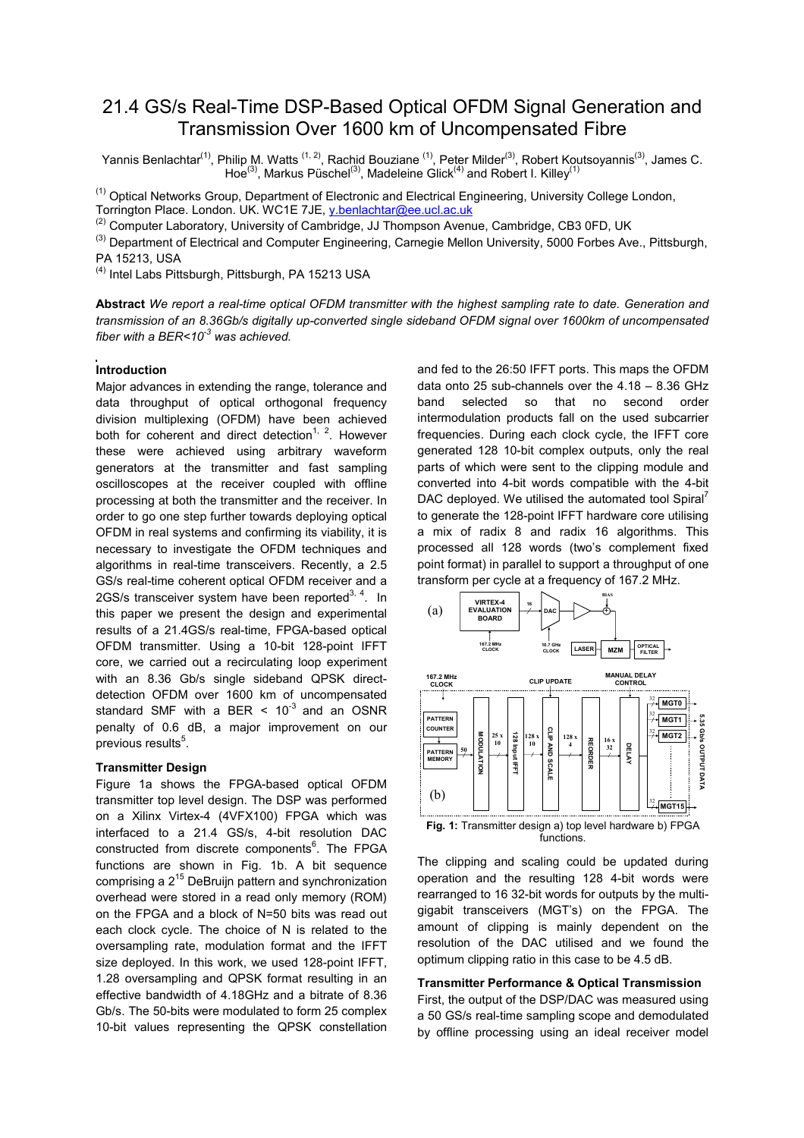# 21.4 GS/s Real-Time DSP-Based Optical OFDM Signal Generation and Transmission Over 1600 km of Uncompensated Fibre

Yannis Benlachtar<sup>(1)</sup>, Philip M. Watts <sup>(1, 2)</sup>, Rachid Bouziane <sup>(1)</sup>, Peter Milder<sup>(3)</sup>, Robert Koutsoyannis<sup>(3)</sup>, James C. Hoe<sup>(3)</sup>, Markus Püschel<sup>(3)</sup>, Madeleine Glick<sup>(4)</sup> and Robert I. Killey<sup>(1)</sup>

<sup>(1)</sup> Optical Networks Group, Department of Electronic and Electrical Engineering, University College London, Torrington Place. London. UK. WC1E 7JE, y.benlachtar@ee.ucl.ac.uk

<sup>(2)</sup> Computer Laboratory, University of Cambridge, JJ Thompson Avenue, Cambridge, CB3 0FD, UK

<sup>(3)</sup> Department of Electrical and Computer Engineering, Carnegie Mellon University, 5000 Forbes Ave., Pittsburgh, PA 15213, USA

(4) Intel Labs Pittsburgh, Pittsburgh, PA 15213 USA

Abstract We report a real-time optical OFDM transmitter with the highest sampling rate to date. Generation and transmission of an 8.36Gb/s digitally up-converted single sideband OFDM signal over 1600km of uncompensated fiber with a BER<10 $3$  was achieved.

# Introduction

Major advances in extending the range, tolerance and data throughput of optical orthogonal frequency division multiplexing (OFDM) have been achieved both for coherent and direct detection<sup>1, 2</sup>. However these were achieved using arbitrary waveform generators at the transmitter and fast sampling oscilloscopes at the receiver coupled with offline processing at both the transmitter and the receiver. In order to go one step further towards deploying optical OFDM in real systems and confirming its viability, it is necessary to investigate the OFDM techniques and algorithms in real-time transceivers. Recently, a 2.5 GS/s real-time coherent optical OFDM receiver and a 2GS/s transceiver system have been reported<sup>3, 4</sup>. In this paper we present the design and experimental results of a 21.4GS/s real-time, FPGA-based optical OFDM transmitter. Using a 10-bit 128-point IFFT core, we carried out a recirculating loop experiment with an 8.36 Gb/s single sideband QPSK directdetection OFDM over 1600 km of uncompensated standard SMF with a BER  $\leq 10^{-3}$  and an OSNR penalty of 0.6 dB, a major improvement on our previous results<sup>5</sup>.

## Transmitter Design

Figure 1a shows the FPGA-based optical OFDM transmitter top level design. The DSP was performed on a Xilinx Virtex-4 (4VFX100) FPGA which was interfaced to a 21.4 GS/s, 4-bit resolution DAC constructed from discrete components<sup>6</sup>. The FPGA functions are shown in Fig. 1b. A bit sequence comprising a 2<sup>15</sup> DeBruijn pattern and synchronization overhead were stored in a read only memory (ROM) on the FPGA and a block of N=50 bits was read out each clock cycle. The choice of N is related to the oversampling rate, modulation format and the IFFT size deployed. In this work, we used 128-point IFFT, 1.28 oversampling and QPSK format resulting in an effective bandwidth of 4.18GHz and a bitrate of 8.36 Gb/s. The 50-bits were modulated to form 25 complex 10-bit values representing the QPSK constellation and fed to the 26:50 IFFT ports. This maps the OFDM data onto 25 sub-channels over the 4.18 – 8.36 GHz band selected so that no second order intermodulation products fall on the used subcarrier frequencies. During each clock cycle, the IFFT core generated 128 10-bit complex outputs, only the real parts of which were sent to the clipping module and converted into 4-bit words compatible with the 4-bit DAC deployed. We utilised the automated tool Spiral<sup>7</sup> to generate the 128-point IFFT hardware core utilising a mix of radix 8 and radix 16 algorithms. This processed all 128 words (two's complement fixed point format) in parallel to support a throughput of one transform per cycle at a frequency of 167.2 MHz.



functions.

The clipping and scaling could be updated during operation and the resulting 128 4-bit words were rearranged to 16 32-bit words for outputs by the multigigabit transceivers (MGT's) on the FPGA. The amount of clipping is mainly dependent on the resolution of the DAC utilised and we found the optimum clipping ratio in this case to be 4.5 dB.

# Transmitter Performance & Optical Transmission

First, the output of the DSP/DAC was measured using a 50 GS/s real-time sampling scope and demodulated by offline processing using an ideal receiver model